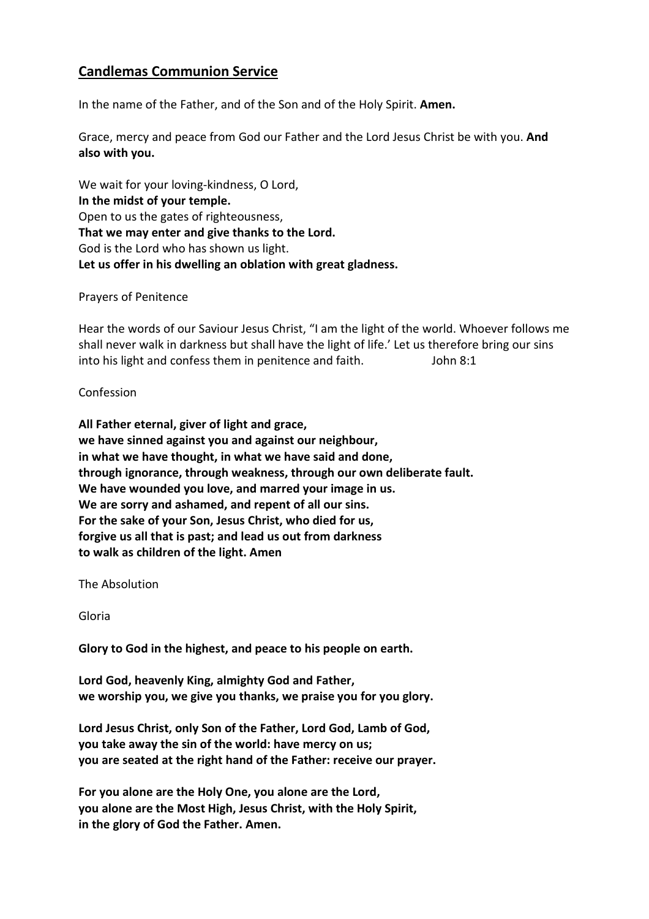## **Candlemas Communion Service**

In the name of the Father, and of the Son and of the Holy Spirit. **Amen.** 

Grace, mercy and peace from God our Father and the Lord Jesus Christ be with you. **And also with you.** 

We wait for your loving-kindness, O Lord, **In the midst of your temple.**  Open to us the gates of righteousness, **That we may enter and give thanks to the Lord.**  God is the Lord who has shown us light. **Let us offer in his dwelling an oblation with great gladness.** 

Prayers of Penitence

Hear the words of our Saviour Jesus Christ, "I am the light of the world. Whoever follows me shall never walk in darkness but shall have the light of life.' Let us therefore bring our sins into his light and confess them in penitence and faith. John 8:1

## Confession

**All Father eternal, giver of light and grace, we have sinned against you and against our neighbour, in what we have thought, in what we have said and done, through ignorance, through weakness, through our own deliberate fault. We have wounded you love, and marred your image in us. We are sorry and ashamed, and repent of all our sins. For the sake of your Son, Jesus Christ, who died for us, forgive us all that is past; and lead us out from darkness to walk as children of the light. Amen** 

The Absolution

Gloria

**Glory to God in the highest, and peace to his people on earth.** 

**Lord God, heavenly King, almighty God and Father, we worship you, we give you thanks, we praise you for you glory.** 

**Lord Jesus Christ, only Son of the Father, Lord God, Lamb of God, you take away the sin of the world: have mercy on us; you are seated at the right hand of the Father: receive our prayer.** 

**For you alone are the Holy One, you alone are the Lord, you alone are the Most High, Jesus Christ, with the Holy Spirit, in the glory of God the Father. Amen.**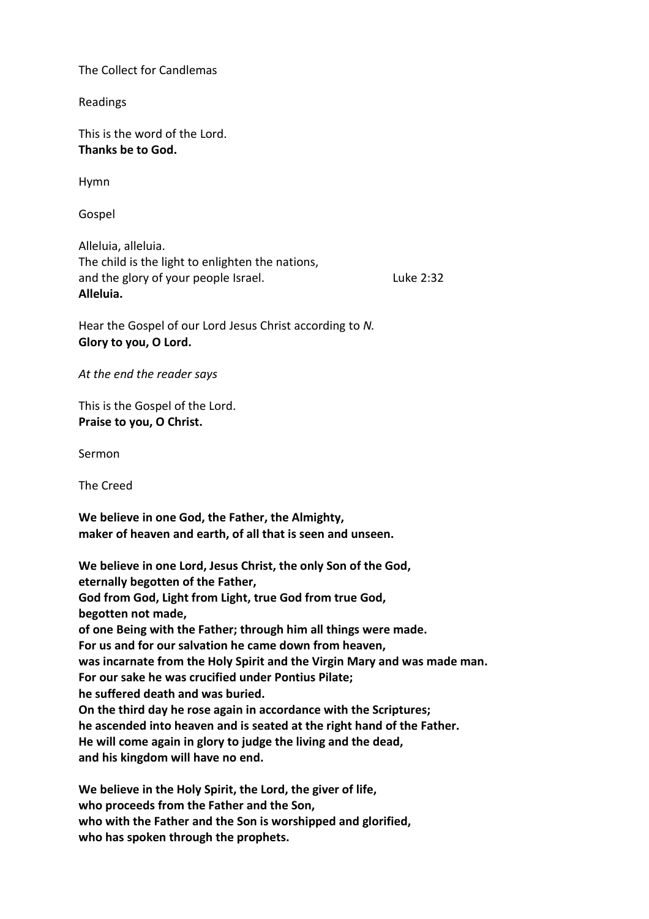The Collect for Candlemas

Readings

This is the word of the Lord. **Thanks be to God.** 

Hymn

Gospel

Alleluia, alleluia. The child is the light to enlighten the nations, and the glory of your people Israel. The same state 2:32 **Alleluia.** 

Hear the Gospel of our Lord Jesus Christ according to *N.*  **Glory to you, O Lord.** 

*At the end the reader says* 

This is the Gospel of the Lord. **Praise to you, O Christ.** 

Sermon

The Creed

**We believe in one God, the Father, the Almighty, maker of heaven and earth, of all that is seen and unseen.** 

**We believe in one Lord, Jesus Christ, the only Son of the God, eternally begotten of the Father, God from God, Light from Light, true God from true God, begotten not made, of one Being with the Father; through him all things were made. For us and for our salvation he came down from heaven, was incarnate from the Holy Spirit and the Virgin Mary and was made man. For our sake he was crucified under Pontius Pilate; he suffered death and was buried. On the third day he rose again in accordance with the Scriptures; he ascended into heaven and is seated at the right hand of the Father. He will come again in glory to judge the living and the dead, and his kingdom will have no end.** 

**We believe in the Holy Spirit, the Lord, the giver of life, who proceeds from the Father and the Son, who with the Father and the Son is worshipped and glorified, who has spoken through the prophets.**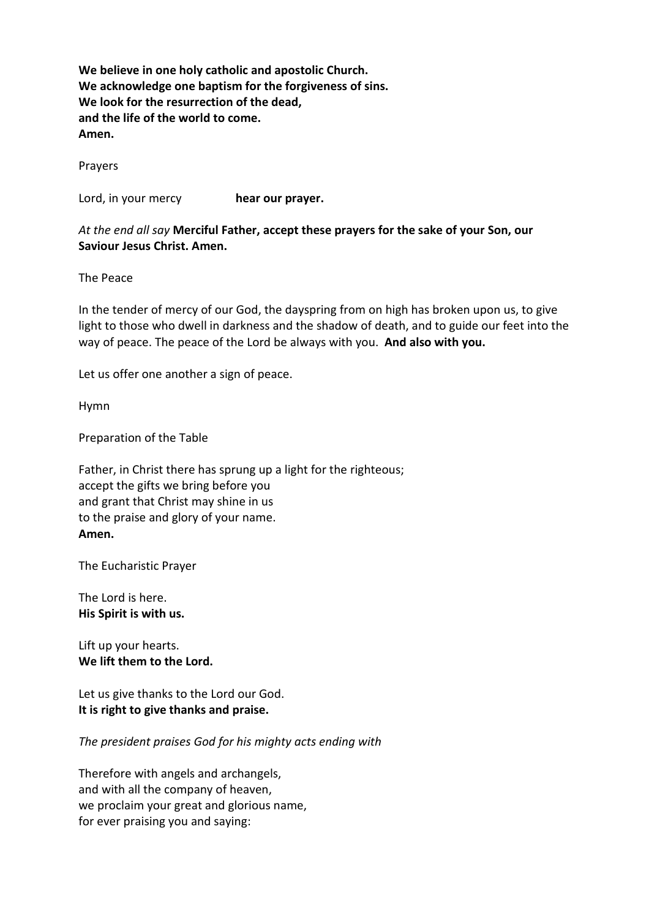**We believe in one holy catholic and apostolic Church. We acknowledge one baptism for the forgiveness of sins. We look for the resurrection of the dead, and the life of the world to come. Amen.** 

Prayers

Lord, in your mercy **hear our prayer.** 

*At the end all say* **Merciful Father, accept these prayers for the sake of your Son, our Saviour Jesus Christ. Amen.** 

The Peace

In the tender of mercy of our God, the dayspring from on high has broken upon us, to give light to those who dwell in darkness and the shadow of death, and to guide our feet into the way of peace. The peace of the Lord be always with you. **And also with you.** 

Let us offer one another a sign of peace.

Hymn

Preparation of the Table

Father, in Christ there has sprung up a light for the righteous; accept the gifts we bring before you and grant that Christ may shine in us to the praise and glory of your name. **Amen.** 

The Eucharistic Prayer

The Lord is here. **His Spirit is with us.** 

Lift up your hearts. **We lift them to the Lord.** 

Let us give thanks to the Lord our God. **It is right to give thanks and praise.** 

*The president praises God for his mighty acts ending with* 

Therefore with angels and archangels, and with all the company of heaven, we proclaim your great and glorious name, for ever praising you and saying: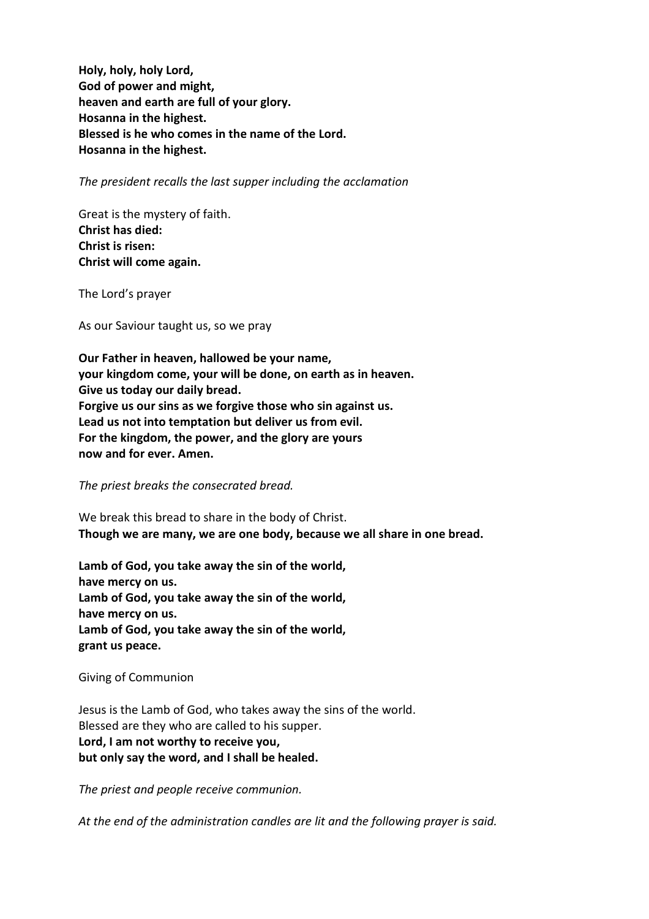**Holy, holy, holy Lord, God of power and might, heaven and earth are full of your glory. Hosanna in the highest. Blessed is he who comes in the name of the Lord. Hosanna in the highest.** 

*The president recalls the last supper including the acclamation* 

Great is the mystery of faith. **Christ has died: Christ is risen: Christ will come again.** 

The Lord's prayer

As our Saviour taught us, so we pray

**Our Father in heaven, hallowed be your name, your kingdom come, your will be done, on earth as in heaven. Give us today our daily bread. Forgive us our sins as we forgive those who sin against us. Lead us not into temptation but deliver us from evil. For the kingdom, the power, and the glory are yours now and for ever. Amen.** 

*The priest breaks the consecrated bread.* 

We break this bread to share in the body of Christ. **Though we are many, we are one body, because we all share in one bread.** 

**Lamb of God, you take away the sin of the world, have mercy on us. Lamb of God, you take away the sin of the world, have mercy on us. Lamb of God, you take away the sin of the world, grant us peace.** 

Giving of Communion

Jesus is the Lamb of God, who takes away the sins of the world. Blessed are they who are called to his supper. **Lord, I am not worthy to receive you, but only say the word, and I shall be healed.** 

*The priest and people receive communion.* 

*At the end of the administration candles are lit and the following prayer is said.*